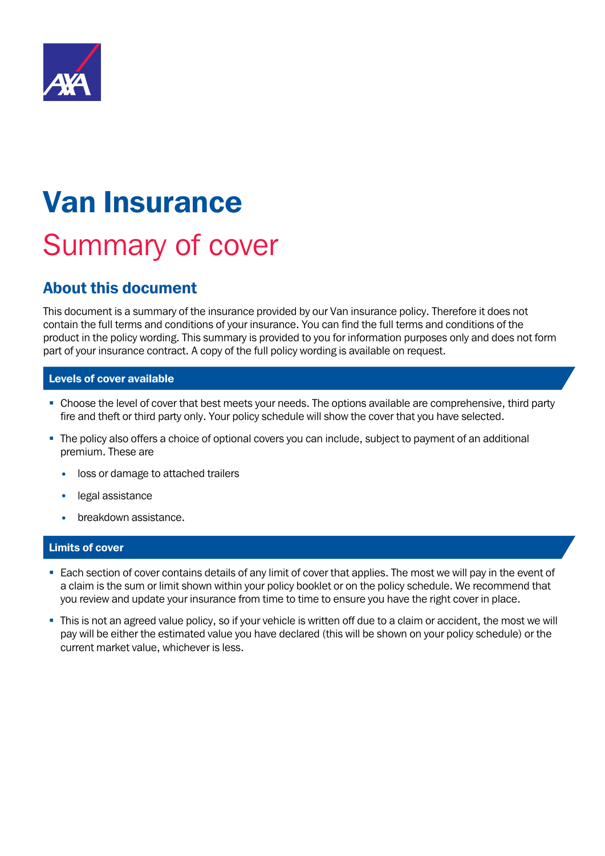

# Van Insurance Summary of cover

### About this document

This document is a summary of the insurance provided by our Van insurance policy. Therefore it does not contain the full terms and conditions of your insurance. You can find the full terms and conditions of the product in the policy wording. This summary is provided to you for information purposes only and does not form part of your insurance contract. A copy of the full policy wording is available on request.

#### Levels of cover available

- Choose the level of cover that best meets your needs. The options available are comprehensive, third party fire and theft or third party only. Your policy schedule will show the cover that you have selected.
- The policy also offers a choice of optional covers you can include, subject to payment of an additional premium. These are
	- loss or damage to attached trailers
	- legal assistance
	- breakdown assistance.

#### Limits of cover

- Each section of cover contains details of any limit of cover that applies. The most we will pay in the event of a claim is the sum or limit shown within your policy booklet or on the policy schedule. We recommend that you review and update your insurance from time to time to ensure you have the right cover in place.
- This is not an agreed value policy, so if your vehicle is written off due to a claim or accident, the most we will pay will be either the estimated value you have declared (this will be shown on your policy schedule) or the current market value, whichever is less.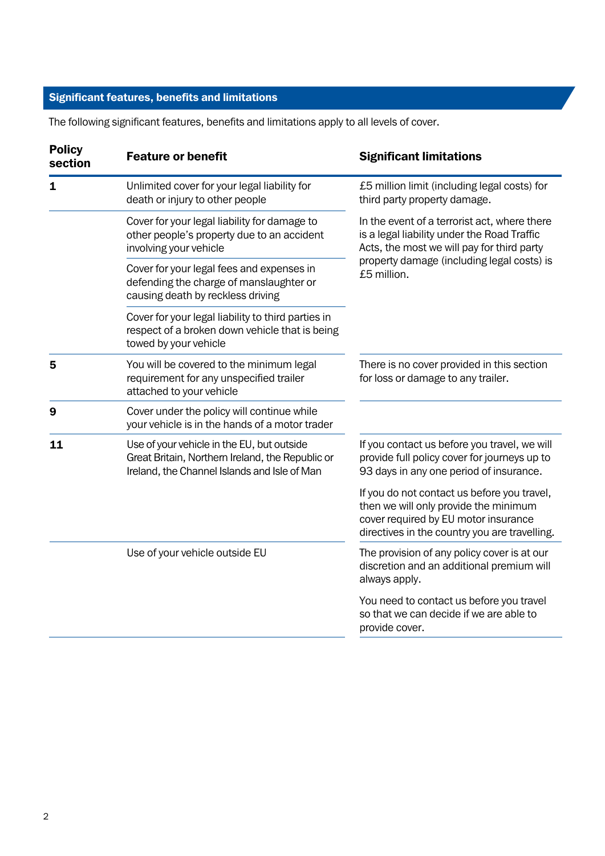The following significant features, benefits and limitations apply to all levels of cover.

| <b>Policy</b><br>section | <b>Feature or benefit</b>                                                                                                                      | <b>Significant limitations</b>                                                                                                                                                |
|--------------------------|------------------------------------------------------------------------------------------------------------------------------------------------|-------------------------------------------------------------------------------------------------------------------------------------------------------------------------------|
| $\mathbf 1$              | Unlimited cover for your legal liability for<br>death or injury to other people                                                                | £5 million limit (including legal costs) for<br>third party property damage.                                                                                                  |
|                          | Cover for your legal liability for damage to<br>other people's property due to an accident<br>involving your vehicle                           | In the event of a terrorist act, where there<br>is a legal liability under the Road Traffic<br>Acts, the most we will pay for third party                                     |
|                          | Cover for your legal fees and expenses in<br>defending the charge of manslaughter or<br>causing death by reckless driving                      | property damage (including legal costs) is<br>£5 million.                                                                                                                     |
|                          | Cover for your legal liability to third parties in<br>respect of a broken down vehicle that is being<br>towed by your vehicle                  |                                                                                                                                                                               |
| 5                        | You will be covered to the minimum legal<br>requirement for any unspecified trailer<br>attached to your vehicle                                | There is no cover provided in this section<br>for loss or damage to any trailer.                                                                                              |
| 9                        | Cover under the policy will continue while<br>your vehicle is in the hands of a motor trader                                                   |                                                                                                                                                                               |
| 11                       | Use of your vehicle in the EU, but outside<br>Great Britain, Northern Ireland, the Republic or<br>Ireland, the Channel Islands and Isle of Man | If you contact us before you travel, we will<br>provide full policy cover for journeys up to<br>93 days in any one period of insurance.                                       |
|                          |                                                                                                                                                | If you do not contact us before you travel,<br>then we will only provide the minimum<br>cover required by EU motor insurance<br>directives in the country you are travelling. |
|                          | Use of your vehicle outside EU                                                                                                                 | The provision of any policy cover is at our<br>discretion and an additional premium will<br>always apply.                                                                     |
|                          |                                                                                                                                                | You need to contact us before you travel<br>so that we can decide if we are able to<br>provide cover.                                                                         |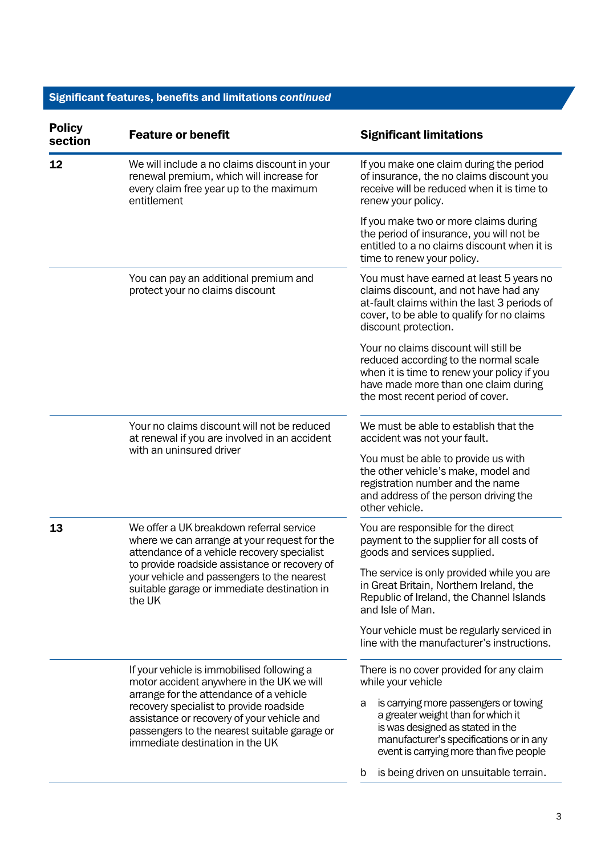| <b>Policy</b><br>section | <b>Feature or benefit</b>                                                                                                                                                                                                                                                                                      | <b>Significant limitations</b>                                                                                                                                                                             |
|--------------------------|----------------------------------------------------------------------------------------------------------------------------------------------------------------------------------------------------------------------------------------------------------------------------------------------------------------|------------------------------------------------------------------------------------------------------------------------------------------------------------------------------------------------------------|
| 12                       | We will include a no claims discount in your<br>renewal premium, which will increase for<br>every claim free year up to the maximum<br>entitlement                                                                                                                                                             | If you make one claim during the period<br>of insurance, the no claims discount you<br>receive will be reduced when it is time to<br>renew your policy.                                                    |
|                          |                                                                                                                                                                                                                                                                                                                | If you make two or more claims during<br>the period of insurance, you will not be<br>entitled to a no claims discount when it is<br>time to renew your policy.                                             |
|                          | You can pay an additional premium and<br>protect your no claims discount                                                                                                                                                                                                                                       | You must have earned at least 5 years no<br>claims discount, and not have had any<br>at-fault claims within the last 3 periods of<br>cover, to be able to qualify for no claims<br>discount protection.    |
|                          |                                                                                                                                                                                                                                                                                                                | Your no claims discount will still be<br>reduced according to the normal scale<br>when it is time to renew your policy if you<br>have made more than one claim during<br>the most recent period of cover.  |
|                          | Your no claims discount will not be reduced<br>at renewal if you are involved in an accident<br>with an uninsured driver                                                                                                                                                                                       | We must be able to establish that the<br>accident was not your fault.                                                                                                                                      |
|                          |                                                                                                                                                                                                                                                                                                                | You must be able to provide us with<br>the other vehicle's make, model and<br>registration number and the name<br>and address of the person driving the<br>other vehicle.                                  |
| 13                       | We offer a UK breakdown referral service<br>where we can arrange at your request for the<br>attendance of a vehicle recovery specialist<br>to provide roadside assistance or recovery of<br>your vehicle and passengers to the nearest<br>suitable garage or immediate destination in<br>the UK                | You are responsible for the direct<br>payment to the supplier for all costs of<br>goods and services supplied.                                                                                             |
|                          |                                                                                                                                                                                                                                                                                                                | The service is only provided while you are<br>in Great Britain, Northern Ireland, the<br>Republic of Ireland, the Channel Islands<br>and Isle of Man.                                                      |
|                          |                                                                                                                                                                                                                                                                                                                | Your vehicle must be regularly serviced in<br>line with the manufacturer's instructions.                                                                                                                   |
|                          | If your vehicle is immobilised following a<br>motor accident anywhere in the UK we will<br>arrange for the attendance of a vehicle<br>recovery specialist to provide roadside<br>assistance or recovery of your vehicle and<br>passengers to the nearest suitable garage or<br>immediate destination in the UK | There is no cover provided for any claim<br>while your vehicle                                                                                                                                             |
|                          |                                                                                                                                                                                                                                                                                                                | is carrying more passengers or towing<br>a<br>a greater weight than for which it<br>is was designed as stated in the<br>manufacturer's specifications or in any<br>event is carrying more than five people |
|                          |                                                                                                                                                                                                                                                                                                                | is being driven on unsuitable terrain.<br>b                                                                                                                                                                |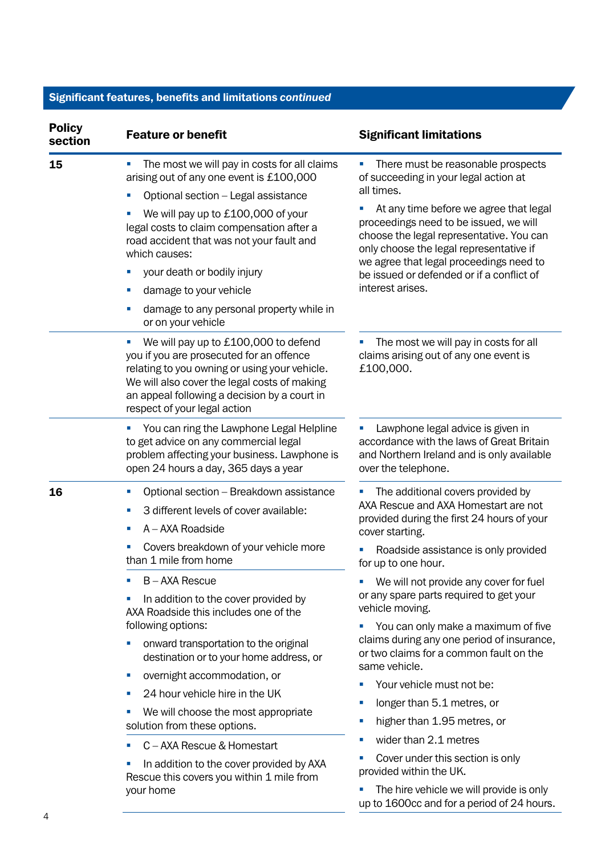| <b>Policy</b><br>section | <b>Feature or benefit</b>                                                                                                                                                                                                                                               | <b>Significant limitations</b>                                                                                                                                                                                                                                  |
|--------------------------|-------------------------------------------------------------------------------------------------------------------------------------------------------------------------------------------------------------------------------------------------------------------------|-----------------------------------------------------------------------------------------------------------------------------------------------------------------------------------------------------------------------------------------------------------------|
| 15                       | The most we will pay in costs for all claims<br>ш<br>arising out of any one event is £100,000                                                                                                                                                                           | There must be reasonable prospects<br>ш<br>of succeeding in your legal action at                                                                                                                                                                                |
|                          | Optional section - Legal assistance<br>ш                                                                                                                                                                                                                                | all times.                                                                                                                                                                                                                                                      |
|                          | We will pay up to £100,000 of your<br>legal costs to claim compensation after a<br>road accident that was not your fault and<br>which causes:                                                                                                                           | At any time before we agree that legal<br>proceedings need to be issued, we will<br>choose the legal representative. You can<br>only choose the legal representative if<br>we agree that legal proceedings need to<br>be issued or defended or if a conflict of |
|                          | your death or bodily injury                                                                                                                                                                                                                                             |                                                                                                                                                                                                                                                                 |
|                          | damage to your vehicle<br>ш                                                                                                                                                                                                                                             | interest arises.                                                                                                                                                                                                                                                |
|                          | damage to any personal property while in<br>ш<br>or on your vehicle                                                                                                                                                                                                     |                                                                                                                                                                                                                                                                 |
|                          | We will pay up to £100,000 to defend<br>u,<br>you if you are prosecuted for an offence<br>relating to you owning or using your vehicle.<br>We will also cover the legal costs of making<br>an appeal following a decision by a court in<br>respect of your legal action | The most we will pay in costs for all<br>claims arising out of any one event is<br>£100,000.                                                                                                                                                                    |
|                          | You can ring the Lawphone Legal Helpline<br>$\overline{\mathcal{M}}$<br>to get advice on any commercial legal<br>problem affecting your business. Lawphone is<br>open 24 hours a day, 365 days a year                                                                   | Lawphone legal advice is given in<br>accordance with the laws of Great Britain<br>and Northern Ireland and is only available<br>over the telephone.                                                                                                             |
| 16                       | Optional section - Breakdown assistance<br>ш<br>3 different levels of cover available:<br>×.<br>A - AXA Roadside<br>ш                                                                                                                                                   | The additional covers provided by<br>AXA Rescue and AXA Homestart are not<br>provided during the first 24 hours of your<br>cover starting.                                                                                                                      |
|                          | Covers breakdown of your vehicle more<br>ш<br>than 1 mile from home                                                                                                                                                                                                     | Roadside assistance is only provided<br>for up to one hour.                                                                                                                                                                                                     |
|                          | B-AXA Rescue<br>×.<br>In addition to the cover provided by<br>AXA Roadside this includes one of the                                                                                                                                                                     | We will not provide any cover for fuel<br>or any spare parts required to get your<br>vehicle moving.<br>You can only make a maximum of five<br>claims during any one period of insurance,<br>or two claims for a common fault on the                            |
|                          | following options:<br>onward transportation to the original<br>destination or to your home address, or                                                                                                                                                                  |                                                                                                                                                                                                                                                                 |
|                          | overnight accommodation, or<br>$\mathcal{L}_{\mathcal{A}}$                                                                                                                                                                                                              | same vehicle.                                                                                                                                                                                                                                                   |
|                          | 24 hour vehicle hire in the UK<br>×.                                                                                                                                                                                                                                    | Your vehicle must not be:                                                                                                                                                                                                                                       |
|                          | We will choose the most appropriate<br>×.<br>solution from these options.                                                                                                                                                                                               | longer than 5.1 metres, or<br>×.                                                                                                                                                                                                                                |
|                          |                                                                                                                                                                                                                                                                         | higher than 1.95 metres, or<br>×.                                                                                                                                                                                                                               |
|                          | C - AXA Rescue & Homestart<br>ш                                                                                                                                                                                                                                         | wider than 2.1 metres<br>×                                                                                                                                                                                                                                      |
|                          | In addition to the cover provided by AXA<br>Rescue this covers you within 1 mile from<br>your home                                                                                                                                                                      | Cover under this section is only<br>provided within the UK.                                                                                                                                                                                                     |
|                          |                                                                                                                                                                                                                                                                         | The hire vehicle we will provide is only<br>up to 1600cc and for a period of 24 hours.                                                                                                                                                                          |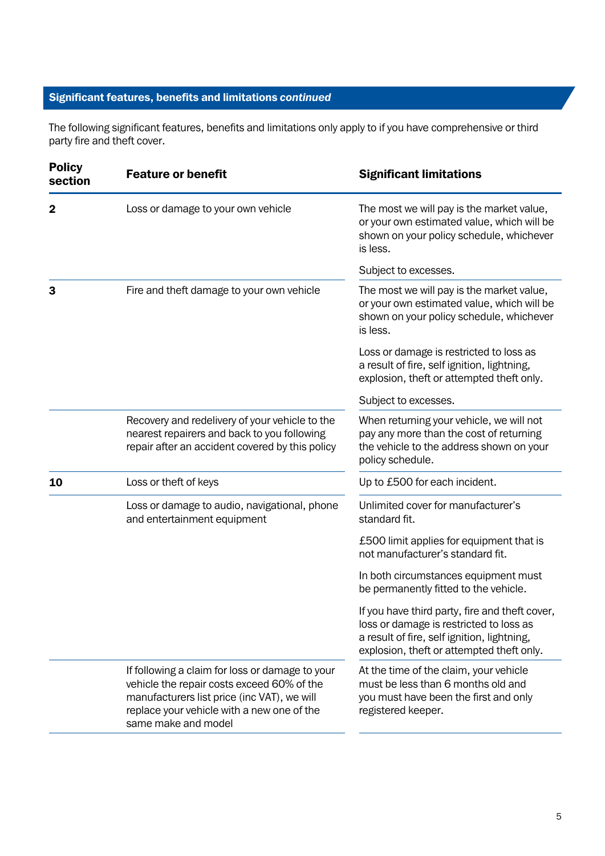The following significant features, benefits and limitations only apply to if you have comprehensive or third party fire and theft cover.

| <b>Policy</b><br>section | <b>Feature or benefit</b>                                                                                                                                                                                         | <b>Significant limitations</b>                                                                                                                                                        |
|--------------------------|-------------------------------------------------------------------------------------------------------------------------------------------------------------------------------------------------------------------|---------------------------------------------------------------------------------------------------------------------------------------------------------------------------------------|
| 2                        | Loss or damage to your own vehicle                                                                                                                                                                                | The most we will pay is the market value,<br>or your own estimated value, which will be<br>shown on your policy schedule, whichever<br>is less.                                       |
|                          |                                                                                                                                                                                                                   | Subject to excesses.                                                                                                                                                                  |
| 3                        | Fire and theft damage to your own vehicle                                                                                                                                                                         | The most we will pay is the market value,<br>or your own estimated value, which will be<br>shown on your policy schedule, whichever<br>is less.                                       |
|                          |                                                                                                                                                                                                                   | Loss or damage is restricted to loss as<br>a result of fire, self ignition, lightning,<br>explosion, theft or attempted theft only.                                                   |
|                          |                                                                                                                                                                                                                   | Subject to excesses.                                                                                                                                                                  |
|                          | Recovery and redelivery of your vehicle to the<br>nearest repairers and back to you following<br>repair after an accident covered by this policy                                                                  | When returning your vehicle, we will not<br>pay any more than the cost of returning<br>the vehicle to the address shown on your<br>policy schedule.                                   |
| 10                       | Loss or theft of keys                                                                                                                                                                                             | Up to £500 for each incident.                                                                                                                                                         |
|                          | Loss or damage to audio, navigational, phone<br>and entertainment equipment                                                                                                                                       | Unlimited cover for manufacturer's<br>standard fit.                                                                                                                                   |
|                          |                                                                                                                                                                                                                   | £500 limit applies for equipment that is<br>not manufacturer's standard fit.                                                                                                          |
|                          |                                                                                                                                                                                                                   | In both circumstances equipment must<br>be permanently fitted to the vehicle.                                                                                                         |
|                          |                                                                                                                                                                                                                   | If you have third party, fire and theft cover,<br>loss or damage is restricted to loss as<br>a result of fire, self ignition, lightning,<br>explosion, theft or attempted theft only. |
|                          | If following a claim for loss or damage to your<br>vehicle the repair costs exceed 60% of the<br>manufacturers list price (inc VAT), we will<br>replace your vehicle with a new one of the<br>same make and model | At the time of the claim, your vehicle<br>must be less than 6 months old and<br>you must have been the first and only<br>registered keeper.                                           |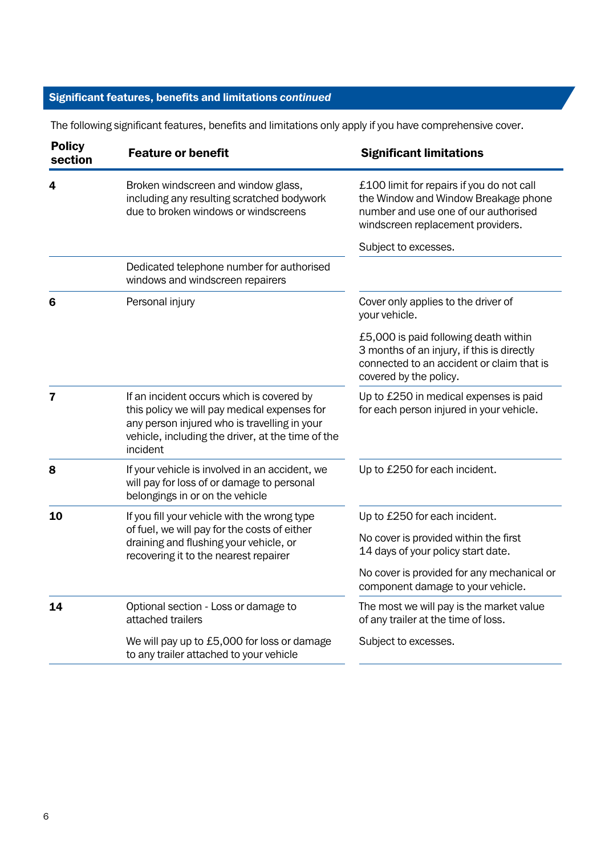| <b>Policy</b><br>section | <b>Feature or benefit</b>                                                                                                                                                                                  | <b>Significant limitations</b>                                                                                                                                 |
|--------------------------|------------------------------------------------------------------------------------------------------------------------------------------------------------------------------------------------------------|----------------------------------------------------------------------------------------------------------------------------------------------------------------|
| 4                        | Broken windscreen and window glass,<br>including any resulting scratched bodywork<br>due to broken windows or windscreens                                                                                  | £100 limit for repairs if you do not call<br>the Window and Window Breakage phone<br>number and use one of our authorised<br>windscreen replacement providers. |
|                          |                                                                                                                                                                                                            | Subject to excesses.                                                                                                                                           |
|                          | Dedicated telephone number for authorised<br>windows and windscreen repairers                                                                                                                              |                                                                                                                                                                |
| 6                        | Personal injury                                                                                                                                                                                            | Cover only applies to the driver of<br>your vehicle.                                                                                                           |
|                          |                                                                                                                                                                                                            | £5,000 is paid following death within<br>3 months of an injury, if this is directly<br>connected to an accident or claim that is<br>covered by the policy.     |
| $\overline{7}$           | If an incident occurs which is covered by<br>this policy we will pay medical expenses for<br>any person injured who is travelling in your<br>vehicle, including the driver, at the time of the<br>incident | Up to £250 in medical expenses is paid<br>for each person injured in your vehicle.                                                                             |
| 8                        | If your vehicle is involved in an accident, we<br>will pay for loss of or damage to personal<br>belongings in or on the vehicle                                                                            | Up to £250 for each incident.                                                                                                                                  |
| 10                       | If you fill your vehicle with the wrong type<br>of fuel, we will pay for the costs of either<br>draining and flushing your vehicle, or<br>recovering it to the nearest repairer                            | Up to £250 for each incident.<br>No cover is provided within the first<br>14 days of your policy start date.<br>No cover is provided for any mechanical or     |
|                          |                                                                                                                                                                                                            | component damage to your vehicle.                                                                                                                              |
| 14                       | Optional section - Loss or damage to<br>attached trailers                                                                                                                                                  | The most we will pay is the market value<br>of any trailer at the time of loss.                                                                                |
|                          | We will pay up to £5,000 for loss or damage<br>to any trailer attached to your vehicle                                                                                                                     | Subject to excesses.                                                                                                                                           |

The following significant features, benefits and limitations only apply if you have comprehensive cover.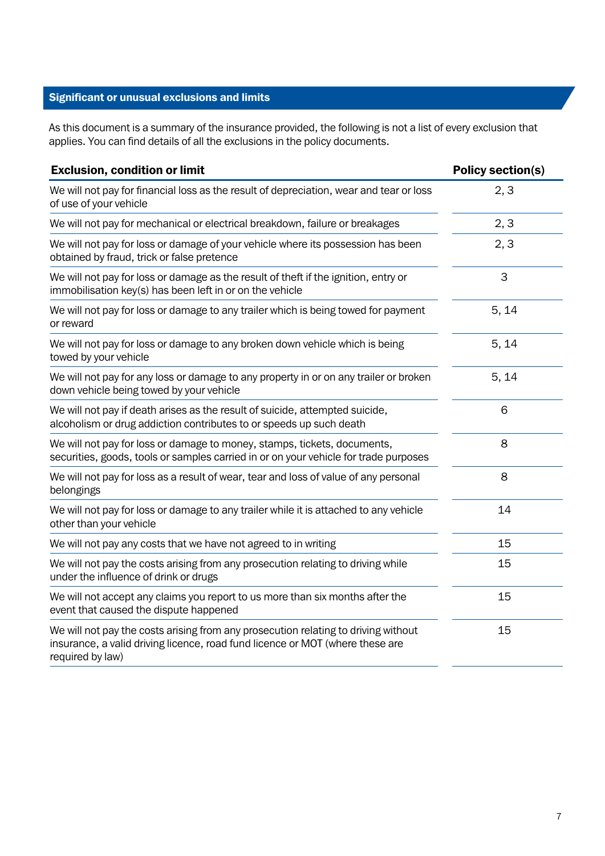#### Significant or unusual exclusions and limits

As this document is a summary of the insurance provided, the following is not a list of every exclusion that applies. You can find details of all the exclusions in the policy documents.

| <b>Exclusion, condition or limit</b>                                                                                                                                                    | <b>Policy section(s)</b> |
|-----------------------------------------------------------------------------------------------------------------------------------------------------------------------------------------|--------------------------|
| We will not pay for financial loss as the result of depreciation, wear and tear or loss<br>of use of your vehicle                                                                       | 2, 3                     |
| We will not pay for mechanical or electrical breakdown, failure or breakages                                                                                                            | 2, 3                     |
| We will not pay for loss or damage of your vehicle where its possession has been<br>obtained by fraud, trick or false pretence                                                          | 2, 3                     |
| We will not pay for loss or damage as the result of theft if the ignition, entry or<br>immobilisation key(s) has been left in or on the vehicle                                         | 3                        |
| We will not pay for loss or damage to any trailer which is being towed for payment<br>or reward                                                                                         | 5, 14                    |
| We will not pay for loss or damage to any broken down vehicle which is being<br>towed by your vehicle                                                                                   | 5, 14                    |
| We will not pay for any loss or damage to any property in or on any trailer or broken<br>down vehicle being towed by your vehicle                                                       | 5, 14                    |
| We will not pay if death arises as the result of suicide, attempted suicide,<br>alcoholism or drug addiction contributes to or speeds up such death                                     | 6                        |
| We will not pay for loss or damage to money, stamps, tickets, documents,<br>securities, goods, tools or samples carried in or on your vehicle for trade purposes                        | 8                        |
| We will not pay for loss as a result of wear, tear and loss of value of any personal<br>belongings                                                                                      | 8                        |
| We will not pay for loss or damage to any trailer while it is attached to any vehicle<br>other than your vehicle                                                                        | 14                       |
| We will not pay any costs that we have not agreed to in writing                                                                                                                         | 15                       |
| We will not pay the costs arising from any prosecution relating to driving while<br>under the influence of drink or drugs                                                               | 15                       |
| We will not accept any claims you report to us more than six months after the<br>event that caused the dispute happened                                                                 | 15                       |
| We will not pay the costs arising from any prosecution relating to driving without<br>insurance, a valid driving licence, road fund licence or MOT (where these are<br>required by law) | 15                       |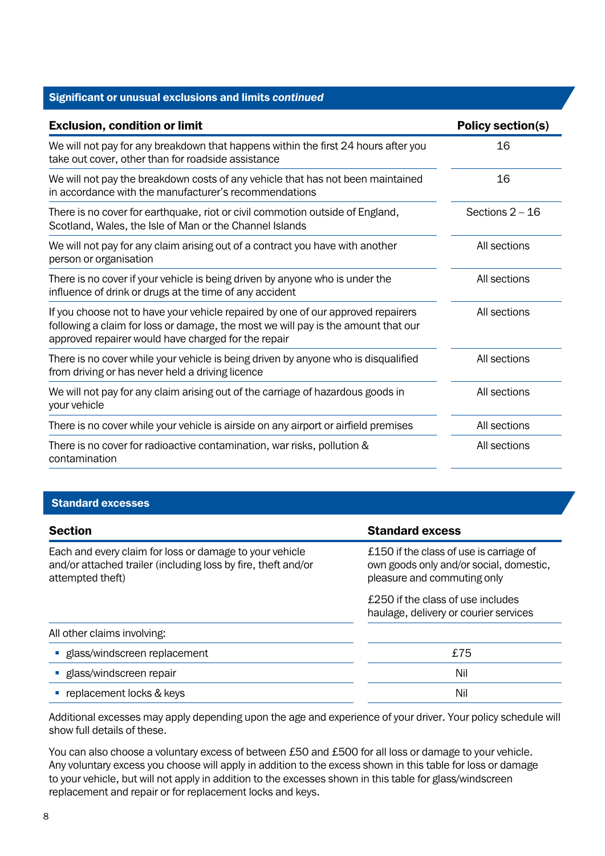#### Significant or unusual exclusions and limits *continued*

| <b>Exclusion, condition or limit</b>                                                                                                                                                                                         | <b>Policy section(s)</b> |
|------------------------------------------------------------------------------------------------------------------------------------------------------------------------------------------------------------------------------|--------------------------|
| We will not pay for any breakdown that happens within the first 24 hours after you<br>take out cover, other than for roadside assistance                                                                                     | 16                       |
| We will not pay the breakdown costs of any vehicle that has not been maintained<br>in accordance with the manufacturer's recommendations                                                                                     | 16                       |
| There is no cover for earthquake, riot or civil commotion outside of England,<br>Scotland, Wales, the Isle of Man or the Channel Islands                                                                                     | Sections $2 - 16$        |
| We will not pay for any claim arising out of a contract you have with another<br>person or organisation                                                                                                                      | All sections             |
| There is no cover if your vehicle is being driven by anyone who is under the<br>influence of drink or drugs at the time of any accident                                                                                      | All sections             |
| If you choose not to have your vehicle repaired by one of our approved repairers<br>following a claim for loss or damage, the most we will pay is the amount that our<br>approved repairer would have charged for the repair | All sections             |
| There is no cover while your vehicle is being driven by anyone who is disqualified<br>from driving or has never held a driving licence                                                                                       | All sections             |
| We will not pay for any claim arising out of the carriage of hazardous goods in<br>your vehicle                                                                                                                              | All sections             |
| There is no cover while your vehicle is airside on any airport or airfield premises                                                                                                                                          | All sections             |
| There is no cover for radioactive contamination, war risks, pollution &<br>contamination                                                                                                                                     | All sections             |

#### Standard excesses

| <b>Section</b>                                                                                                                               | <b>Standard excess</b>                                                                                            |
|----------------------------------------------------------------------------------------------------------------------------------------------|-------------------------------------------------------------------------------------------------------------------|
| Each and every claim for loss or damage to your vehicle<br>and/or attached trailer (including loss by fire, theft and/or<br>attempted theft) | £150 if the class of use is carriage of<br>own goods only and/or social, domestic,<br>pleasure and commuting only |
|                                                                                                                                              | £250 if the class of use includes<br>haulage, delivery or courier services                                        |
| All other claims involving:                                                                                                                  |                                                                                                                   |
| · glass/windscreen replacement                                                                                                               | £75                                                                                                               |
| • glass/windscreen repair                                                                                                                    | Nil                                                                                                               |
| replacement locks & keys                                                                                                                     | Nil                                                                                                               |

Additional excesses may apply depending upon the age and experience of your driver. Your policy schedule will show full details of these.

You can also choose a voluntary excess of between £50 and £500 for all loss or damage to your vehicle. Any voluntary excess you choose will apply in addition to the excess shown in this table for loss or damage to your vehicle, but will not apply in addition to the excesses shown in this table for glass/windscreen replacement and repair or for replacement locks and keys.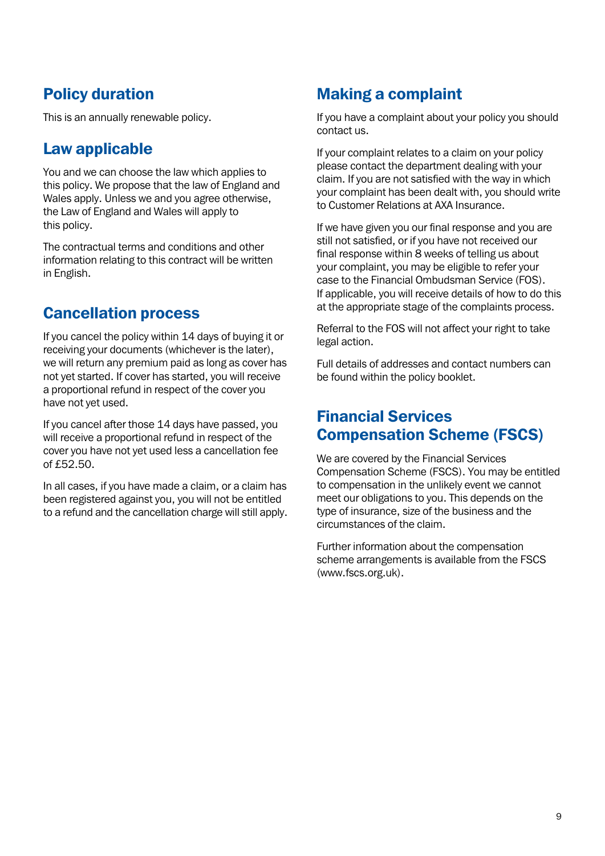### Policy duration

This is an annually renewable policy.

### Law applicable

You and we can choose the law which applies to this policy. We propose that the law of England and Wales apply. Unless we and you agree otherwise, the Law of England and Wales will apply to this policy.

The contractual terms and conditions and other information relating to this contract will be written in English.

### Cancellation process

If you cancel the policy within 14 days of buying it or receiving your documents (whichever is the later), we will return any premium paid as long as cover has not yet started. If cover has started, you will receive a proportional refund in respect of the cover you have not yet used.

If you cancel after those 14 days have passed, you will receive a proportional refund in respect of the cover you have not yet used less a cancellation fee of £52.50.

In all cases, if you have made a claim, or a claim has been registered against you, you will not be entitled to a refund and the cancellation charge will still apply.

### Making a complaint

If you have a complaint about your policy you should contact us.

If your complaint relates to a claim on your policy please contact the department dealing with your claim. If you are not satisfied with the way in which your complaint has been dealt with, you should write to Customer Relations at AXA Insurance.

If we have given you our final response and you are still not satisfied, or if you have not received our final response within 8 weeks of telling us about your complaint, you may be eligible to refer your case to the Financial Ombudsman Service (FOS). If applicable, you will receive details of how to do this at the appropriate stage of the complaints process.

Referral to the FOS will not affect your right to take legal action.

Full details of addresses and contact numbers can be found within the policy booklet.

### Financial Services Compensation Scheme (FSCS)

We are covered by the Financial Services Compensation Scheme (FSCS). You may be entitled to compensation in the unlikely event we cannot meet our obligations to you. This depends on the type of insurance, size of the business and the circumstances of the claim.

Further information about the compensation scheme arrangements is available from the FSCS [\(www.fscs.org.uk\)](http://www.fscs.org.uk).